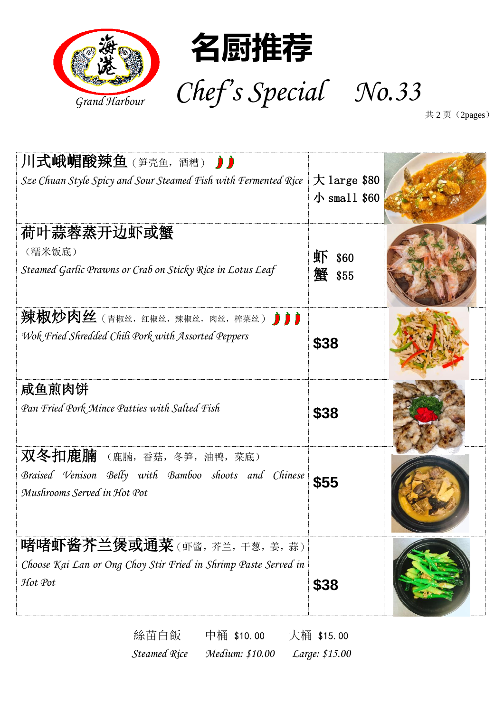

共 2页 (2pages)

| 川式峨嵋酸辣鱼 (笋壳鱼,酒糟) 力<br>Sze Chuan Style Spicy and Sour Steamed Fish with Fermented Rice                         | $\pm$ large \$80<br>小 small $$60$ |  |
|---------------------------------------------------------------------------------------------------------------|-----------------------------------|--|
| 荷叶蒜蓉蒸开边虾或蟹<br>(糯米饭底)<br>Steamed Garlic Prawns or Crab on Sticky Rice in Lotus Leaf                            | 虾<br>\$60<br>蟹 \$55               |  |
| 辣椒炒肉丝 (青椒丝,红椒丝,辣椒丝,肉丝,榨菜丝) ♪♪<br>Wok Fried Shredded Chili Pork with Assorted Peppers                          | \$38                              |  |
| 咸鱼煎肉饼<br>Pan Fried Pork Mince Patties with Salted Fish                                                        | \$38                              |  |
| 双冬扣鹿腩 (鹿腩,香菇,冬笋,油鸭,菜底)<br>Braised Venison Belly with Bamboo shoots and Chinese<br>Mushrooms Served in Hot Pot | \$55                              |  |
| 啫啫虾酱芥兰煲或通菜(虾酱,芥兰,干葱,姜,蒜)<br>Choose Kai Lan or Ong Choy Stir Fried in Shrimp Paste Served in<br>Hot Pot        | \$38                              |  |

絲苗白飯 中桶 \$10.00 大桶 \$15.00 *Steamed Rice Medium: \$10.00 Large: \$15.00*